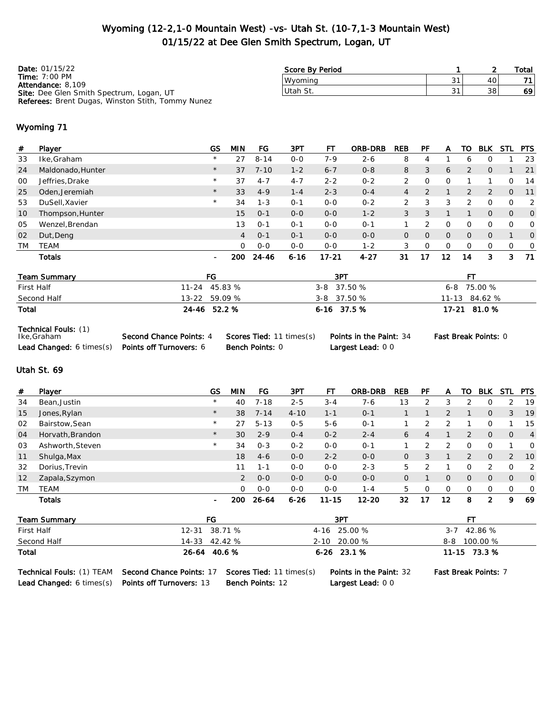### Wyoming (12-2,1-0 Mountain West) -vs- Utah St. (10-7,1-3 Mountain West) 01/15/22 at Dee Glen Smith Spectrum, Logan, UT

| <b>Date: 01/15/22</b>                                    | Score By Period |    | Total |
|----------------------------------------------------------|-----------------|----|-------|
| Time: $7:00 \text{ PM}$<br>Attendance: 8.109             | Wvomina         | 40 | 71    |
| <b>Site:</b> Dee Glen Smith Spectrum, Logan, UT          | Utah St.        | 38 | -69 I |
| <b>Referees:</b> Brent Dugas, Winston Stith, Tommy Nunez |                 |    |       |

#### Wyoming 71

| #         | Player                    | <b>GS</b>      | <b>MIN</b>     | FG       | 3PT      | FT         | <b>ORB-DRB</b> | <b>REB</b>     | PF             | A              | TO             | <b>BLK</b>     | <b>STL</b>     | <b>PTS</b>  |
|-----------|---------------------------|----------------|----------------|----------|----------|------------|----------------|----------------|----------------|----------------|----------------|----------------|----------------|-------------|
| 33        | Ike, Graham               | $\star$        | 27             | $8 - 14$ | $0 - 0$  | $7 - 9$    | $2 - 6$        | 8              | 4              |                | 6              | 0              |                | 23          |
| 24        | Maldonado, Hunter         | $\star$        | 37             | $7 - 10$ | $1 - 2$  | $6 - 7$    | $0 - 8$        | 8              | 3              | 6              | $\overline{2}$ | $\overline{O}$ |                | 21          |
| 00        | Jeffries, Drake           | $\star$        | 37             | $4 - 7$  | $4 - 7$  | $2 - 2$    | $0 - 2$        | 2              | 0              | 0              |                |                | 0              | 14          |
| 25        | Oden, Jeremiah            | $\star$        | 33             | $4 - 9$  | $1 - 4$  | $2 - 3$    | $0 - 4$        | $\overline{4}$ | $\overline{2}$ |                | 2              | $\overline{2}$ | 0              | 11          |
| 53        | DuSell, Xavier            | $\star$        | 34             | $1 - 3$  | $0 - 1$  | $0 - 0$    | $0 - 2$        | 2              | 3              | 3              | 2              | 0              | 0              | 2           |
| 10        | Thompson, Hunter          |                | 15             | $O - 1$  | $0 - 0$  | $0 - 0$    | $1 - 2$        | 3              | 3              |                |                | $\overline{0}$ | $\overline{0}$ | $\mathbf 0$ |
| 05        | Wenzel, Brendan           |                | 13             | $0 - 1$  | $0 - 1$  | $0 - 0$    | $0 - 1$        | 1              | 2              | $\Omega$       | $\Omega$       | 0              | $\Omega$       | 0           |
| 02        | Dut, Deng                 |                | $\overline{4}$ | $O - 1$  | $0 - 1$  | $0 - 0$    | $0 - 0$        | $\overline{O}$ | $\Omega$       | $\overline{O}$ | $\overline{0}$ | $\overline{0}$ | 1              | 0           |
| <b>TM</b> | TEAM                      |                | $\Omega$       | $0 - 0$  | $0 - 0$  | $0 - 0$    | $1 - 2$        | 3              | 0              | 0              | 0              | 0              | 0              | 0           |
|           | Totals                    | $\blacksquare$ | 200            | 24-46    | $6 - 16$ | 17-21      | $4 - 27$       | 31             | 17             | 12             | 14             | 3              | 3              | 71          |
|           | Team Summary              | FG             |                |          |          | 3PT        |                |                |                |                | FT.            |                |                |             |
|           | First Half                | $11 - 24$      | 45.83 %        |          |          | $3 - 8$    | 37.50 %        |                |                | $6 - 8$        |                | 75.00 %        |                |             |
|           | Second Half               | $13 - 22$      | 59.09 %        |          |          | $3 - 8$    | 37.50 %        |                |                | $11 - 13$      |                | 84.62 %        |                |             |
| Total     |                           | 24-46 52.2 %   |                |          |          | 6-16 37.5% |                |                |                |                |                | 17-21 81.0 %   |                |             |
|           | Technical Fouls: (1)<br>. |                |                | .        | $\sim$   |            | _ _ _          |                |                |                |                |                |                |             |

| Ike,Graham                                       | Second Chance Points: 4 | Scores T |
|--------------------------------------------------|-------------------------|----------|
| Lead Changed: 6 times(s) Points off Turnovers: 6 |                         | Bench Po |

Ted: 11 times(s) Points in the Paint: 34 Fast Break Points: 0 oints: 0 **Largest Lead:** 0 0

#### Utah St. 69

| #               | Player           | GS      | MIN        | FG       | 3PT      | FT        | <b>ORB-DRB</b> | <b>REB</b> | <b>PF</b> | A  | TO             | <b>BLK</b>     | STL            | <b>PTS</b>     |
|-----------------|------------------|---------|------------|----------|----------|-----------|----------------|------------|-----------|----|----------------|----------------|----------------|----------------|
| 34              | Bean, Justin     | $\star$ | 40         | $7 - 18$ | $2 - 5$  | $3 - 4$   | $7 - 6$        | 13         |           | 3  |                | 0              | $\mathcal{P}$  | 19             |
| 15              | Jones, Rylan     | $\star$ | 38         | $7 - 14$ | $4 - 10$ | $1 - 1$   | $O - 1$        |            |           | 2  |                | $\mathbf{0}$   | 3              | 19             |
| 02              | Bairstow, Sean   | $\star$ | 27         | $5 - 13$ | $0 - 5$  | $5 - 6$   | $O - 1$        |            | ↷         | っ  |                | Ω              |                | 15             |
| 04              | Horvath, Brandon | $\star$ | 30         | $2 - 9$  | $0 - 4$  | $0 - 2$   | $2 - 4$        | 6          | 4         |    | 2              | $\mathbf{0}$   | $\overline{O}$ | $\overline{4}$ |
| 03              | Ashworth, Steven | $\star$ | 34         | $0 - 3$  | $0 - 2$  | $0 - 0$   | $O - 1$        |            |           | っ  | O              | $\Omega$       |                | 0              |
| 11              | Shulga, Max      |         | 18         | $4-6$    | $0-0$    | $2 - 2$   | $0 - 0$        | 0          | 3         |    | $\overline{2}$ | $\mathbf{0}$   | $\overline{2}$ | <b>10</b>      |
| 32              | Dorius, Trevin   |         | 11         | $1 - 1$  | $0-0$    | $0 - 0$   | $2 - 3$        | 5          |           |    | Ω              | 2              | O              | 2              |
| 12 <sup>2</sup> | Zapala, Szymon   |         | 2          | $0 - 0$  | $0-0$    | $0 - 0$   | $0 - 0$        | 0          |           | 0  | 0              | $\overline{O}$ | $\overline{O}$ | $\overline{0}$ |
| TM              | <b>TEAM</b>      |         | $\Omega$   | $0 - 0$  | $0-0$    | $0 - 0$   | $1 - 4$        | 5.         | $\Omega$  | 0  | O              | 0              | 0              | 0              |
|                 | <b>Totals</b>    | -       | <b>200</b> | 26-64    | $6 - 26$ | $11 - 15$ | $12 - 20$      | 32         | 17        | 12 | 8              | 2              | 9              | 69             |

| Team Summary                                                                              | FG            |  | 3PT                            | FТ                          |
|-------------------------------------------------------------------------------------------|---------------|--|--------------------------------|-----------------------------|
| First Half                                                                                | 12-31 38.71 % |  | 4-16 25.00 %                   | $3-7$ 42.86 %               |
| Second Half                                                                               | 14-33 42.42 % |  | 2-10 20.00 %                   | 8-8 100.00 %                |
| Total                                                                                     | 26-64 40.6 %  |  | $6-26$ 23.1 %                  | 11-15 73.3 %                |
| <b>Technical Fouls:</b> (1) TEAM <b>Second Chance Points: 17 Scores Tied: 11 times(s)</b> |               |  | <b>Points in the Paint: 32</b> | <b>Fast Break Points: 7</b> |

Lead Changed: 6 times(s) Points off Turnovers: 13 Bench Points: 12 Largest Lead: 0 0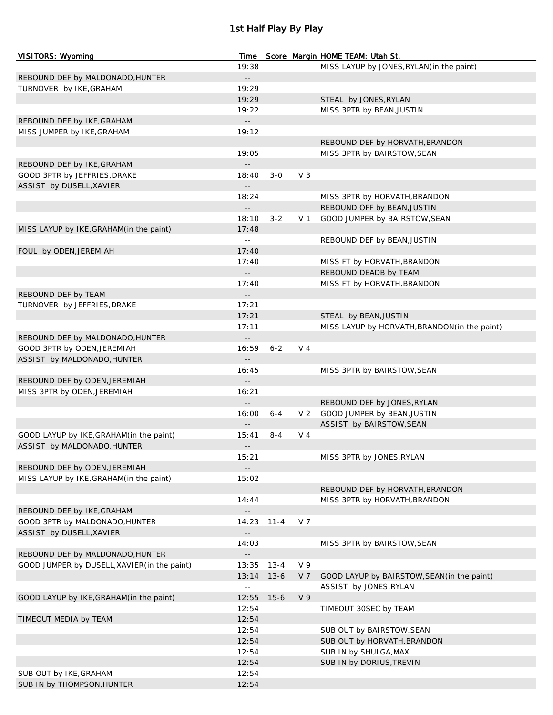## 1st Half Play By Play

| VISITORS: Wyoming                                          | Time                                |          |                | Score Margin HOME TEAM: Utah St.              |
|------------------------------------------------------------|-------------------------------------|----------|----------------|-----------------------------------------------|
|                                                            | 19:38                               |          |                | MISS LAYUP by JONES, RYLAN (in the paint)     |
| REBOUND DEF by MALDONADO, HUNTER                           | --                                  |          |                |                                               |
| TURNOVER by IKE, GRAHAM                                    | 19:29                               |          |                |                                               |
|                                                            | 19:29                               |          |                | STEAL by JONES, RYLAN                         |
|                                                            | 19:22                               |          |                | MISS 3PTR by BEAN, JUSTIN                     |
| REBOUND DEF by IKE, GRAHAM                                 | $ -$                                |          |                |                                               |
| MISS JUMPER by IKE, GRAHAM                                 | 19:12                               |          |                |                                               |
|                                                            | $\overline{\phantom{a}}$ .          |          |                | REBOUND DEF by HORVATH, BRANDON               |
|                                                            | 19:05                               |          |                | MISS 3PTR by BAIRSTOW, SEAN                   |
| REBOUND DEF by IKE, GRAHAM<br>GOOD 3PTR by JEFFRIES, DRAKE | $\overline{\phantom{a}}$ .<br>18:40 | $3-0$    | $V_3$          |                                               |
| ASSIST by DUSELL, XAVIER                                   | $\overline{\phantom{a}}$ .          |          |                |                                               |
|                                                            | 18:24                               |          |                | MISS 3PTR by HORVATH, BRANDON                 |
|                                                            | $\overline{\phantom{a}}$ .          |          |                | REBOUND OFF by BEAN, JUSTIN                   |
|                                                            | 18:10                               | $3 - 2$  |                | V 1 GOOD JUMPER by BAIRSTOW, SEAN             |
| MISS LAYUP by IKE, GRAHAM (in the paint)                   | 17:48                               |          |                |                                               |
|                                                            | $\sim$ $-$                          |          |                | REBOUND DEF by BEAN, JUSTIN                   |
| FOUL by ODEN, JEREMIAH                                     | 17:40                               |          |                |                                               |
|                                                            | 17:40                               |          |                | MISS FT by HORVATH, BRANDON                   |
|                                                            | $\overline{\phantom{a}}$ .          |          |                | REBOUND DEADB by TEAM                         |
|                                                            | 17:40                               |          |                | MISS FT by HORVATH, BRANDON                   |
| REBOUND DEF by TEAM                                        | $\overline{\phantom{a}}$ .          |          |                |                                               |
| TURNOVER by JEFFRIES, DRAKE                                | 17:21                               |          |                |                                               |
|                                                            | 17:21                               |          |                | STEAL by BEAN, JUSTIN                         |
|                                                            | 17:11                               |          |                | MISS LAYUP by HORVATH, BRANDON (in the paint) |
| REBOUND DEF by MALDONADO, HUNTER                           | $\overline{\phantom{a}}$ .          |          |                |                                               |
| GOOD 3PTR by ODEN, JEREMIAH                                | 16:59                               | $6 - 2$  | V 4            |                                               |
| ASSIST by MALDONADO, HUNTER                                | $\overline{\phantom{a}}$ .          |          |                |                                               |
|                                                            | 16:45                               |          |                | MISS 3PTR by BAIRSTOW, SEAN                   |
| REBOUND DEF by ODEN, JEREMIAH                              | $- -$                               |          |                |                                               |
| MISS 3PTR by ODEN, JEREMIAH                                | 16:21                               |          |                |                                               |
|                                                            | $\overline{\phantom{a}}$ .          |          |                | REBOUND DEF by JONES, RYLAN                   |
|                                                            | 16:00                               | 6-4      | V <sub>2</sub> | GOOD JUMPER by BEAN, JUSTIN                   |
|                                                            |                                     |          |                | ASSIST by BAIRSTOW, SEAN                      |
| GOOD LAYUP by IKE, GRAHAM (in the paint)                   | 15:41                               | $8 - 4$  | V 4            |                                               |
| ASSIST by MALDONADO, HUNTER                                | --                                  |          |                |                                               |
|                                                            | 15:21                               |          |                | MISS 3PTR by JONES, RYLAN                     |
| REBOUND DEF by ODEN, JEREMIAH                              |                                     |          |                |                                               |
| MISS LAYUP by IKE, GRAHAM (in the paint)                   | 15:02                               |          |                |                                               |
|                                                            | $-$                                 |          |                | REBOUND DEF by HORVATH, BRANDON               |
|                                                            | 14:44                               |          |                | MISS 3PTR by HORVATH, BRANDON                 |
| REBOUND DEF by IKE, GRAHAM                                 |                                     |          |                |                                               |
| GOOD 3PTR by MALDONADO, HUNTER                             | 14:23                               | 11-4     | V 7            |                                               |
| ASSIST by DUSELL, XAVIER                                   | $-$                                 |          |                |                                               |
|                                                            | 14:03                               |          |                | MISS 3PTR by BAIRSTOW, SEAN                   |
| REBOUND DEF by MALDONADO, HUNTER                           | $\overline{\phantom{a}}$ .          |          |                |                                               |
| GOOD JUMPER by DUSELL, XAVIER (in the paint)               | 13:35                               | $13 - 4$ | V 9            |                                               |
|                                                            | 13:14                               | $13 - 6$ | V <sub>7</sub> | GOOD LAYUP by BAIRSTOW, SEAN (in the paint)   |
|                                                            | $\sim$ $-$                          |          |                | ASSIST by JONES, RYLAN                        |
| GOOD LAYUP by IKE, GRAHAM (in the paint)                   | 12:55                               | $15 - 6$ | V <sub>9</sub> |                                               |
|                                                            | 12:54                               |          |                | TIMEOUT 30SEC by TEAM                         |
| TIMEOUT MEDIA by TEAM                                      | 12:54                               |          |                |                                               |
|                                                            | 12:54                               |          |                | SUB OUT by BAIRSTOW, SEAN                     |
|                                                            | 12:54                               |          |                | SUB OUT by HORVATH, BRANDON                   |
|                                                            | 12:54                               |          |                | SUB IN by SHULGA, MAX                         |
|                                                            | 12:54                               |          |                | SUB IN by DORIUS, TREVIN                      |
| SUB OUT by IKE, GRAHAM                                     | 12:54                               |          |                |                                               |
| SUB IN by THOMPSON, HUNTER                                 | 12:54                               |          |                |                                               |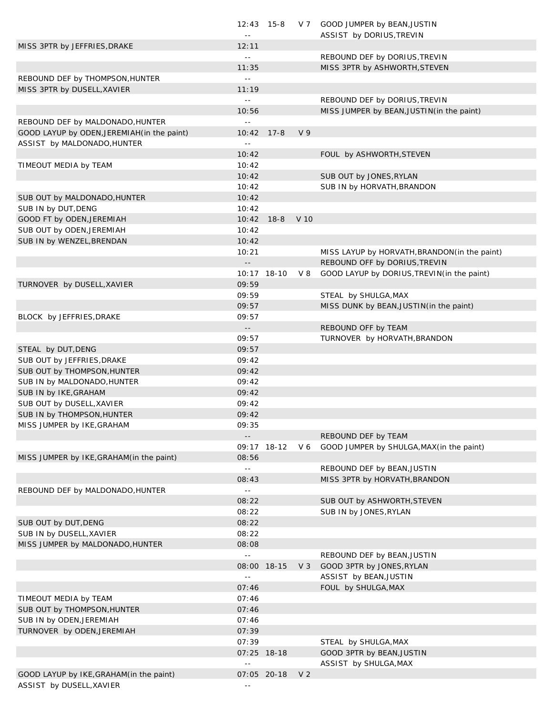|                                             |                            | $12:43$ 15-8 |                | V 7 GOOD JUMPER by BEAN, JUSTIN               |
|---------------------------------------------|----------------------------|--------------|----------------|-----------------------------------------------|
|                                             | $\sim$ $-$                 |              |                | ASSIST by DORIUS, TREVIN                      |
| MISS 3PTR by JEFFRIES, DRAKE                | 12:11                      |              |                |                                               |
|                                             | $\sim$ $-$                 |              |                | REBOUND DEF by DORIUS, TREVIN                 |
|                                             | 11:35                      |              |                | MISS 3PTR by ASHWORTH, STEVEN                 |
| REBOUND DEF by THOMPSON, HUNTER             | $\Box$                     |              |                |                                               |
| MISS 3PTR by DUSELL, XAVIER                 | 11:19                      |              |                |                                               |
|                                             | $\perp$ $\perp$            |              |                | REBOUND DEF by DORIUS, TREVIN                 |
|                                             | 10:56                      |              |                | MISS JUMPER by BEAN, JUSTIN (in the paint)    |
| REBOUND DEF by MALDONADO, HUNTER            | $\perp$ $\perp$            |              |                |                                               |
| GOOD LAYUP by ODEN, JEREMIAH (in the paint) | 10:42                      | $17 - 8$     | V <sub>9</sub> |                                               |
| ASSIST by MALDONADO, HUNTER                 | $\sim$ $-$                 |              |                |                                               |
|                                             | 10:42                      |              |                | FOUL by ASHWORTH, STEVEN                      |
| TIMEOUT MEDIA by TEAM                       | 10:42                      |              |                |                                               |
|                                             | 10:42                      |              |                | SUB OUT by JONES, RYLAN                       |
|                                             | 10:42                      |              |                | SUB IN by HORVATH, BRANDON                    |
| SUB OUT by MALDONADO, HUNTER                | 10:42                      |              |                |                                               |
| SUB IN by DUT, DENG                         | 10:42                      |              |                |                                               |
| GOOD FT by ODEN, JEREMIAH                   | 10:42                      | $18 - 8$     | V 10           |                                               |
| SUB OUT by ODEN, JEREMIAH                   | 10:42                      |              |                |                                               |
| SUB IN by WENZEL, BRENDAN                   | 10:42                      |              |                |                                               |
|                                             | 10:21                      |              |                | MISS LAYUP by HORVATH, BRANDON (in the paint) |
|                                             | $\overline{\phantom{a}}$ . |              |                | REBOUND OFF by DORIUS, TREVIN                 |
|                                             |                            | 10:17 18-10  | V 8            | GOOD LAYUP by DORIUS, TREVIN(in the paint)    |
| TURNOVER by DUSELL, XAVIER                  | 09:59                      |              |                |                                               |
|                                             | 09:59                      |              |                | STEAL by SHULGA, MAX                          |
|                                             | 09:57                      |              |                | MISS DUNK by BEAN, JUSTIN (in the paint)      |
| BLOCK by JEFFRIES, DRAKE                    | 09:57                      |              |                |                                               |
|                                             | $\overline{\phantom{a}}$ . |              |                | REBOUND OFF by TEAM                           |
|                                             | 09:57                      |              |                | TURNOVER by HORVATH, BRANDON                  |
|                                             | 09:57                      |              |                |                                               |
| STEAL by DUT, DENG                          |                            |              |                |                                               |
| SUB OUT by JEFFRIES, DRAKE                  | 09:42                      |              |                |                                               |
| SUB OUT by THOMPSON, HUNTER                 | 09:42                      |              |                |                                               |
| SUB IN by MALDONADO, HUNTER                 | 09:42                      |              |                |                                               |
| SUB IN by IKE, GRAHAM                       | 09:42                      |              |                |                                               |
| SUB OUT by DUSELL, XAVIER                   | 09:42                      |              |                |                                               |
| SUB IN by THOMPSON, HUNTER                  | 09:42                      |              |                |                                               |
| MISS JUMPER by IKE, GRAHAM                  | 09:35                      |              |                |                                               |
|                                             | $\overline{\phantom{a}}$ . |              |                | REBOUND DEF by TEAM                           |
|                                             |                            | 09:17 18-12  | $V_6$          | GOOD JUMPER by SHULGA, MAX (in the paint)     |
| MISS JUMPER by IKE, GRAHAM (in the paint)   | 08:56                      |              |                |                                               |
|                                             | $\omega$ $\omega$          |              |                | REBOUND DEF by BEAN, JUSTIN                   |
|                                             | 08:43                      |              |                | MISS 3PTR by HORVATH, BRANDON                 |
| REBOUND DEF by MALDONADO, HUNTER            | $\omega$ $\omega$          |              |                |                                               |
|                                             | 08:22                      |              |                | SUB OUT by ASHWORTH, STEVEN                   |
|                                             | 08:22                      |              |                | SUB IN by JONES, RYLAN                        |
| SUB OUT by DUT, DENG                        | 08:22                      |              |                |                                               |
| SUB IN by DUSELL, XAVIER                    | 08:22                      |              |                |                                               |
| MISS JUMPER by MALDONADO, HUNTER            | 08:08                      |              |                |                                               |
|                                             | $\perp$ $\perp$            |              |                | REBOUND DEF by BEAN, JUSTIN                   |
|                                             |                            | 08:00 18-15  | $V_3$          | GOOD 3PTR by JONES, RYLAN                     |
|                                             | $\sim$ $-$                 |              |                | ASSIST by BEAN, JUSTIN                        |
|                                             | 07:46                      |              |                | FOUL by SHULGA, MAX                           |
| TIMEOUT MEDIA by TEAM                       | 07:46                      |              |                |                                               |
| SUB OUT by THOMPSON, HUNTER                 | 07:46                      |              |                |                                               |
| SUB IN by ODEN, JEREMIAH                    | 07:46                      |              |                |                                               |
| TURNOVER by ODEN, JEREMIAH                  | 07:39                      |              |                |                                               |
|                                             | 07:39                      |              |                | STEAL by SHULGA, MAX                          |
|                                             |                            | 07:25 18-18  |                | GOOD 3PTR by BEAN, JUSTIN                     |
|                                             | $\sim$ $-$                 |              |                | ASSIST by SHULGA, MAX                         |
| GOOD LAYUP by IKE, GRAHAM (in the paint)    |                            | 07:05 20-18  | V <sub>2</sub> |                                               |
| ASSIST by DUSELL, XAVIER                    | $\sim$ $-$                 |              |                |                                               |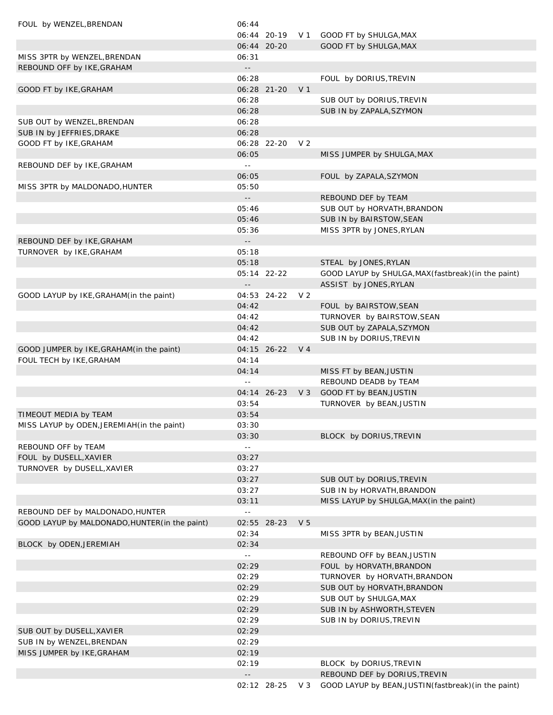| FOUL by WENZEL, BRENDAN                        | 06:44                                         |                |                |                                                       |
|------------------------------------------------|-----------------------------------------------|----------------|----------------|-------------------------------------------------------|
|                                                |                                               |                |                | 06:44 20-19 V 1 GOOD FT by SHULGA, MAX                |
|                                                |                                               | 06:44 20-20    |                | GOOD FT by SHULGA, MAX                                |
| MISS 3PTR by WENZEL, BRENDAN                   | 06:31                                         |                |                |                                                       |
| REBOUND OFF by IKE, GRAHAM                     | $\sim$ $\sim$                                 |                |                |                                                       |
|                                                | 06:28                                         |                |                | FOUL by DORIUS, TREVIN                                |
| GOOD FT by IKE, GRAHAM                         |                                               | 06:28 21-20    | V <sub>1</sub> |                                                       |
|                                                | 06:28                                         |                |                | SUB OUT by DORIUS, TREVIN                             |
|                                                | 06:28                                         |                |                | SUB IN by ZAPALA, SZYMON                              |
| SUB OUT by WENZEL, BRENDAN                     | 06:28                                         |                |                |                                                       |
| SUB IN by JEFFRIES, DRAKE                      | 06:28                                         |                |                |                                                       |
| GOOD FT by IKE, GRAHAM                         |                                               | 06:28 22-20    | V <sub>2</sub> |                                                       |
|                                                | 06:05                                         |                |                | MISS JUMPER by SHULGA, MAX                            |
| REBOUND DEF by IKE, GRAHAM                     | $\sim$ $-$                                    |                |                |                                                       |
|                                                | 06:05                                         |                |                | FOUL by ZAPALA, SZYMON                                |
| MISS 3PTR by MALDONADO, HUNTER                 | 05:50                                         |                |                |                                                       |
|                                                | $\overline{\phantom{a}}$ .                    |                |                | REBOUND DEF by TEAM                                   |
|                                                | 05:46                                         |                |                | SUB OUT by HORVATH, BRANDON                           |
|                                                | 05:46                                         |                |                | SUB IN by BAIRSTOW, SEAN                              |
|                                                | 05:36                                         |                |                | MISS 3PTR by JONES, RYLAN                             |
| REBOUND DEF by IKE, GRAHAM                     | $\mathord{\hspace{1pt}\text{--}\hspace{1pt}}$ |                |                |                                                       |
| TURNOVER by IKE, GRAHAM                        | 05:18                                         |                |                |                                                       |
|                                                | 05:18                                         |                |                | STEAL by JONES, RYLAN                                 |
|                                                |                                               | 05:14 22-22    |                | GOOD LAYUP by SHULGA, MAX (fastbreak) (in the paint)  |
|                                                | $ -$                                          |                |                | ASSIST by JONES, RYLAN                                |
| GOOD LAYUP by IKE, GRAHAM (in the paint)       |                                               | 04:53 24-22    | V 2            |                                                       |
|                                                | 04:42                                         |                |                | FOUL by BAIRSTOW, SEAN                                |
|                                                | 04:42                                         |                |                | TURNOVER by BAIRSTOW, SEAN                            |
|                                                | 04:42                                         |                |                | SUB OUT by ZAPALA, SZYMON                             |
|                                                | 04:42                                         |                |                | SUB IN by DORIUS, TREVIN                              |
| GOOD JUMPER by IKE, GRAHAM (in the paint)      |                                               | 04:15 26-22 V4 |                |                                                       |
| FOUL TECH by IKE, GRAHAM                       | 04:14                                         |                |                |                                                       |
|                                                | 04:14                                         |                |                | MISS FT by BEAN, JUSTIN                               |
|                                                | $\sim$ $-$                                    |                |                | REBOUND DEADB by TEAM                                 |
|                                                |                                               | 04:14 26-23    |                | V 3 GOOD FT by BEAN, JUSTIN                           |
|                                                | 03:54                                         |                |                | TURNOVER by BEAN, JUSTIN                              |
| TIMEOUT MEDIA by TEAM                          | 03:54                                         |                |                |                                                       |
| MISS LAYUP by ODEN, JEREMIAH (in the paint)    | 03:30                                         |                |                |                                                       |
|                                                | 03:30                                         |                |                | BLOCK by DORIUS, TREVIN                               |
| REBOUND OFF by TEAM                            | $\sim$ $\sim$                                 |                |                |                                                       |
| FOUL by DUSELL, XAVIER                         | 03:27                                         |                |                |                                                       |
| TURNOVER by DUSELL, XAVIER                     | 03:27                                         |                |                |                                                       |
|                                                | 03:27                                         |                |                | SUB OUT by DORIUS, TREVIN                             |
|                                                | 03:27                                         |                |                | SUB IN by HORVATH, BRANDON                            |
|                                                | 03:11                                         |                |                | MISS LAYUP by SHULGA, MAX (in the paint)              |
| REBOUND DEF by MALDONADO, HUNTER               | $\sim$ $\sim$                                 |                |                |                                                       |
| GOOD LAYUP by MALDONADO, HUNTER (in the paint) |                                               | 02:55 28-23    | V <sub>5</sub> |                                                       |
|                                                | 02:34                                         |                |                | MISS 3PTR by BEAN, JUSTIN                             |
| BLOCK by ODEN, JEREMIAH                        | 02:34                                         |                |                |                                                       |
|                                                | $\sim$ $\sim$                                 |                |                | REBOUND OFF by BEAN, JUSTIN                           |
|                                                | 02:29                                         |                |                | FOUL by HORVATH, BRANDON                              |
|                                                | 02:29                                         |                |                | TURNOVER by HORVATH, BRANDON                          |
|                                                | 02:29                                         |                |                | SUB OUT by HORVATH, BRANDON                           |
|                                                | 02:29                                         |                |                | SUB OUT by SHULGA, MAX                                |
|                                                | 02:29                                         |                |                | SUB IN by ASHWORTH, STEVEN                            |
|                                                | 02:29                                         |                |                | SUB IN by DORIUS, TREVIN                              |
| SUB OUT by DUSELL, XAVIER                      | 02:29                                         |                |                |                                                       |
| SUB IN by WENZEL, BRENDAN                      | 02:29                                         |                |                |                                                       |
| MISS JUMPER by IKE, GRAHAM                     | 02:19                                         |                |                |                                                       |
|                                                | 02:19                                         |                |                | BLOCK by DORIUS, TREVIN                               |
|                                                | $\overline{\phantom{a}}$ .                    |                |                | REBOUND DEF by DORIUS, TREVIN                         |
|                                                |                                               | 02:12 28-25    | $V_3$          | GOOD LAYUP by BEAN, JUSTIN (fastbreak) (in the paint) |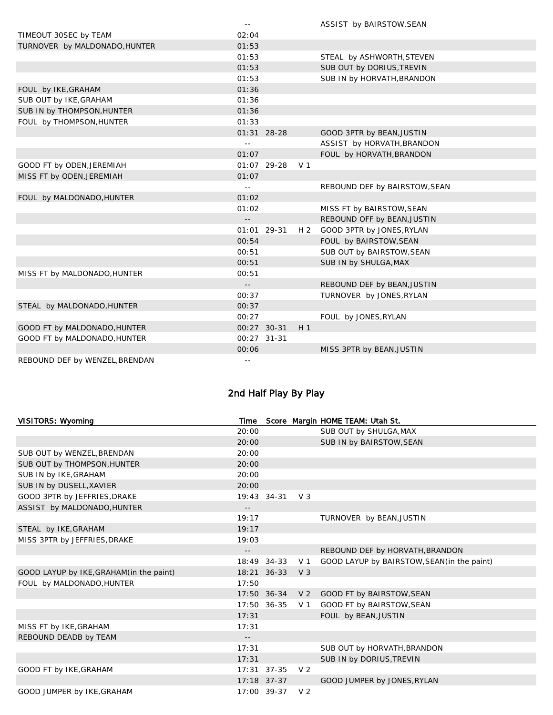|                                | $\equiv$ $\equiv$ |             |                | ASSIST by BAIRSTOW, SEAN      |
|--------------------------------|-------------------|-------------|----------------|-------------------------------|
| TIMEOUT 30SEC by TEAM          | 02:04             |             |                |                               |
| TURNOVER by MALDONADO, HUNTER  | 01:53             |             |                |                               |
|                                | 01:53             |             |                | STEAL by ASHWORTH, STEVEN     |
|                                | 01:53             |             |                | SUB OUT by DORIUS, TREVIN     |
|                                | 01:53             |             |                | SUB IN by HORVATH, BRANDON    |
| FOUL by IKE, GRAHAM            | 01:36             |             |                |                               |
| SUB OUT by IKE, GRAHAM         | 01:36             |             |                |                               |
| SUB IN by THOMPSON, HUNTER     | 01:36             |             |                |                               |
| FOUL by THOMPSON, HUNTER       | 01:33             |             |                |                               |
|                                |                   | 01:31 28-28 |                | GOOD 3PTR by BEAN, JUSTIN     |
|                                | $\sim$ $\sim$     |             |                | ASSIST by HORVATH, BRANDON    |
|                                | 01:07             |             |                | FOUL by HORVATH, BRANDON      |
| GOOD FT by ODEN, JEREMIAH      |                   | 01:07 29-28 | V <sub>1</sub> |                               |
| MISS FT by ODEN, JEREMIAH      | 01:07             |             |                |                               |
|                                | $\omega$ $\omega$ |             |                | REBOUND DEF by BAIRSTOW, SEAN |
| FOUL by MALDONADO, HUNTER      | 01:02             |             |                |                               |
|                                | 01:02             |             |                | MISS FT by BAIRSTOW, SEAN     |
|                                | $ -$              |             |                | REBOUND OFF by BEAN, JUSTIN   |
|                                |                   | 01:01 29-31 | H 2            | GOOD 3PTR by JONES, RYLAN     |
|                                | 00:54             |             |                | FOUL by BAIRSTOW, SEAN        |
|                                | 00:51             |             |                | SUB OUT by BAIRSTOW, SEAN     |
|                                | 00:51             |             |                | SUB IN by SHULGA, MAX         |
| MISS FT by MALDONADO, HUNTER   | 00:51             |             |                |                               |
|                                | $\sim$ $-$        |             |                | REBOUND DEF by BEAN, JUSTIN   |
|                                | 00:37             |             |                | TURNOVER by JONES, RYLAN      |
| STEAL by MALDONADO, HUNTER     | 00:37             |             |                |                               |
|                                | 00:27             |             |                | FOUL by JONES, RYLAN          |
| GOOD FT by MALDONADO, HUNTER   |                   | 00:27 30-31 | H <sub>1</sub> |                               |
| GOOD FT by MALDONADO, HUNTER   |                   | 00:27 31-31 |                |                               |
|                                | 00:06             |             |                | MISS 3PTR by BEAN, JUSTIN     |
| REBOUND DEF by WENZEL, BRENDAN | --                |             |                |                               |

# 2nd Half Play By Play

| VISITORS: Wyoming                        | Time       |                 |                | Score Margin HOME TEAM: Utah St.            |
|------------------------------------------|------------|-----------------|----------------|---------------------------------------------|
|                                          | 20:00      |                 |                | SUB OUT by SHULGA, MAX                      |
|                                          | 20:00      |                 |                | SUB IN by BAIRSTOW, SEAN                    |
| SUB OUT by WENZEL, BRENDAN               | 20:00      |                 |                |                                             |
| SUB OUT by THOMPSON, HUNTER              | 20:00      |                 |                |                                             |
| SUB IN by IKE, GRAHAM                    | 20:00      |                 |                |                                             |
| SUB IN by DUSELL, XAVIER                 | 20:00      |                 |                |                                             |
| GOOD 3PTR by JEFFRIES, DRAKE             |            | 19:43 34-31     | V <sub>3</sub> |                                             |
| ASSIST by MALDONADO, HUNTER              | $ -$       |                 |                |                                             |
|                                          | 19:17      |                 |                | TURNOVER by BEAN, JUSTIN                    |
| STEAL by IKE, GRAHAM                     | 19:17      |                 |                |                                             |
| MISS 3PTR by JEFFRIES, DRAKE             | 19:03      |                 |                |                                             |
|                                          | $- -$      |                 |                | REBOUND DEF by HORVATH, BRANDON             |
|                                          |            | 18:49 34-33     | V <sub>1</sub> | GOOD LAYUP by BAIRSTOW, SEAN (in the paint) |
| GOOD LAYUP by IKE, GRAHAM (in the paint) |            | 18:21 36-33     | V3             |                                             |
| FOUL by MALDONADO, HUNTER                | 17:50      |                 |                |                                             |
|                                          |            | 17:50 36-34     |                | V 2 GOOD FT by BAIRSTOW, SEAN               |
|                                          |            | 17:50 36-35     | V <sub>1</sub> | GOOD FT by BAIRSTOW, SEAN                   |
|                                          | 17:31      |                 |                | FOUL by BEAN, JUSTIN                        |
| MISS FT by IKE, GRAHAM                   | 17:31      |                 |                |                                             |
| REBOUND DEADB by TEAM                    | $\sim$ $-$ |                 |                |                                             |
|                                          | 17:31      |                 |                | SUB OUT by HORVATH, BRANDON                 |
|                                          | 17:31      |                 |                | SUB IN by DORIUS, TREVIN                    |
| GOOD FT by IKE, GRAHAM                   |            | $17:31$ $37-35$ | V <sub>2</sub> |                                             |
|                                          |            | $17:18$ 37-37   |                | GOOD JUMPER by JONES, RYLAN                 |
| GOOD JUMPER by IKE, GRAHAM               |            | 17:00 39-37     | V <sub>2</sub> |                                             |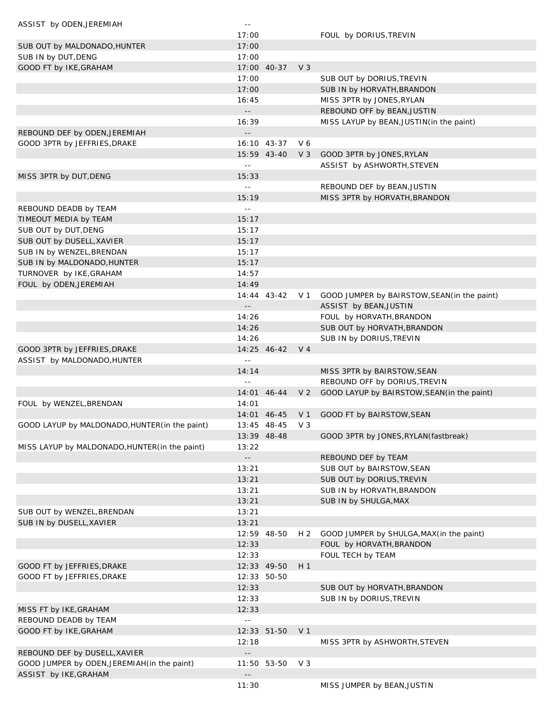| ASSIST by ODEN, JEREMIAH                       | $\sim$ $-$                 |                 |                |                                              |
|------------------------------------------------|----------------------------|-----------------|----------------|----------------------------------------------|
|                                                | 17:00                      |                 |                | FOUL by DORIUS, TREVIN                       |
| SUB OUT by MALDONADO, HUNTER                   | 17:00                      |                 |                |                                              |
| SUB IN by DUT, DENG                            | 17:00                      |                 |                |                                              |
| GOOD FT by IKE, GRAHAM                         |                            | 17:00 40-37     | $V_3$          |                                              |
|                                                | 17:00                      |                 |                | SUB OUT by DORIUS, TREVIN                    |
|                                                | 17:00                      |                 |                | SUB IN by HORVATH, BRANDON                   |
|                                                | 16:45                      |                 |                | MISS 3PTR by JONES, RYLAN                    |
|                                                | $\sim$ $\sim$              |                 |                | REBOUND OFF by BEAN, JUSTIN                  |
|                                                | 16:39                      |                 |                | MISS LAYUP by BEAN, JUSTIN(in the paint)     |
| REBOUND DEF by ODEN, JEREMIAH                  |                            |                 |                |                                              |
| GOOD 3PTR by JEFFRIES, DRAKE                   |                            | 16:10 43-37     | V 6            |                                              |
|                                                |                            | 15:59 43-40     | $V_3$          | GOOD 3PTR by JONES, RYLAN                    |
|                                                | $\sim$ $-$                 |                 |                | ASSIST by ASHWORTH, STEVEN                   |
| MISS 3PTR by DUT, DENG                         | 15:33                      |                 |                |                                              |
|                                                | $\sim$ $-$                 |                 |                | REBOUND DEF by BEAN, JUSTIN                  |
|                                                | 15:19                      |                 |                | MISS 3PTR by HORVATH, BRANDON                |
| REBOUND DEADB by TEAM                          | $\sim$ $\sim$              |                 |                |                                              |
| TIMEOUT MEDIA by TEAM                          | 15:17                      |                 |                |                                              |
| SUB OUT by DUT, DENG                           | 15:17                      |                 |                |                                              |
| SUB OUT by DUSELL, XAVIER                      | 15:17                      |                 |                |                                              |
| SUB IN by WENZEL, BRENDAN                      | 15:17                      |                 |                |                                              |
| SUB IN by MALDONADO, HUNTER                    | 15:17                      |                 |                |                                              |
|                                                | 14:57                      |                 |                |                                              |
| TURNOVER by IKE, GRAHAM                        | 14:49                      |                 |                |                                              |
| FOUL by ODEN, JEREMIAH                         |                            |                 |                |                                              |
|                                                |                            | 14:44 43-42     | V 1            | GOOD JUMPER by BAIRSTOW, SEAN (in the paint) |
|                                                | $\overline{\phantom{a}}$ . |                 |                | ASSIST by BEAN, JUSTIN                       |
|                                                | 14:26                      |                 |                | FOUL by HORVATH, BRANDON                     |
|                                                | 14:26                      |                 |                | SUB OUT by HORVATH, BRANDON                  |
|                                                | 14:26                      |                 |                | SUB IN by DORIUS, TREVIN                     |
| GOOD 3PTR by JEFFRIES, DRAKE                   |                            | 14:25 46-42 V 4 |                |                                              |
| ASSIST by MALDONADO, HUNTER                    | $\sim$ $-$                 |                 |                |                                              |
|                                                | 14:14                      |                 |                | MISS 3PTR by BAIRSTOW, SEAN                  |
|                                                | $\sim$ $-$                 |                 |                | REBOUND OFF by DORIUS, TREVIN                |
|                                                |                            | 14:01 46-44     | V <sub>2</sub> | GOOD LAYUP by BAIRSTOW, SEAN (in the paint)  |
| FOUL by WENZEL, BRENDAN                        | 14:01                      |                 |                |                                              |
|                                                |                            | 14:01 46-45     | V 1            | GOOD FT by BAIRSTOW, SEAN                    |
| GOOD LAYUP by MALDONADO, HUNTER (in the paint) |                            | 13:45 48-45     | $V_3$          |                                              |
|                                                |                            | 13:39 48-48     |                | GOOD 3PTR by JONES, RYLAN (fastbreak)        |
| MISS LAYUP by MALDONADO, HUNTER (in the paint) | 13:22                      |                 |                |                                              |
|                                                | $- -$                      |                 |                | REBOUND DEF by TEAM                          |
|                                                | 13:21                      |                 |                | SUB OUT by BAIRSTOW, SEAN                    |
|                                                | 13:21                      |                 |                | SUB OUT by DORIUS, TREVIN                    |
|                                                | 13:21                      |                 |                | SUB IN by HORVATH, BRANDON                   |
|                                                | 13:21                      |                 |                | SUB IN by SHULGA, MAX                        |
| SUB OUT by WENZEL, BRENDAN                     | 13:21                      |                 |                |                                              |
| SUB IN by DUSELL, XAVIER                       | 13:21                      |                 |                |                                              |
|                                                |                            | 12:59 48-50     | H 2            | GOOD JUMPER by SHULGA, MAX (in the paint)    |
|                                                | 12:33                      |                 |                | FOUL by HORVATH, BRANDON                     |
|                                                | 12:33                      |                 |                | FOUL TECH by TEAM                            |
| GOOD FT by JEFFRIES, DRAKE                     |                            | 12:33 49-50     | H <sub>1</sub> |                                              |
| GOOD FT by JEFFRIES, DRAKE                     |                            | 12:33 50-50     |                |                                              |
|                                                | 12:33                      |                 |                | SUB OUT by HORVATH, BRANDON                  |
|                                                | 12:33                      |                 |                | SUB IN by DORIUS, TREVIN                     |
| MISS FT by IKE, GRAHAM                         | 12:33                      |                 |                |                                              |
| REBOUND DEADB by TEAM                          | $\sim$ $-$                 |                 |                |                                              |
| GOOD FT by IKE, GRAHAM                         |                            | 12:33 51-50     | V <sub>1</sub> |                                              |
|                                                | 12:18                      |                 |                | MISS 3PTR by ASHWORTH, STEVEN                |
| REBOUND DEF by DUSELL, XAVIER                  |                            |                 |                |                                              |
| GOOD JUMPER by ODEN, JEREMIAH (in the paint)   |                            | 11:50 53-50     | $V_3$          |                                              |
| ASSIST by IKE, GRAHAM                          |                            |                 |                |                                              |
|                                                | 11:30                      |                 |                | MISS JUMPER by BEAN, JUSTIN                  |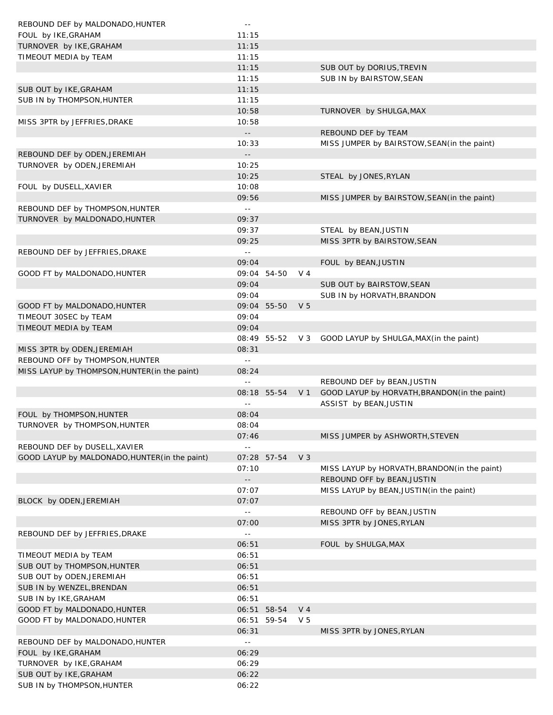| REBOUND DEF by MALDONADO, HUNTER               | $\sim$ $-$                 |             |                |                                               |
|------------------------------------------------|----------------------------|-------------|----------------|-----------------------------------------------|
| FOUL by IKE, GRAHAM                            | 11:15                      |             |                |                                               |
| TURNOVER by IKE, GRAHAM                        | 11:15                      |             |                |                                               |
| TIMEOUT MEDIA by TEAM                          | 11:15                      |             |                |                                               |
|                                                | 11:15                      |             |                | SUB OUT by DORIUS, TREVIN                     |
|                                                | 11:15                      |             |                | SUB IN by BAIRSTOW, SEAN                      |
| SUB OUT by IKE, GRAHAM                         | 11:15                      |             |                |                                               |
| SUB IN by THOMPSON, HUNTER                     | 11:15                      |             |                |                                               |
|                                                | 10:58                      |             |                | TURNOVER by SHULGA, MAX                       |
| MISS 3PTR by JEFFRIES, DRAKE                   | 10:58                      |             |                |                                               |
|                                                | $\overline{\phantom{a}}$ . |             |                | REBOUND DEF by TEAM                           |
|                                                | 10:33                      |             |                | MISS JUMPER by BAIRSTOW, SEAN (in the paint)  |
| REBOUND DEF by ODEN, JEREMIAH                  | $\overline{\phantom{a}}$ . |             |                |                                               |
| TURNOVER by ODEN, JEREMIAH                     | 10:25                      |             |                |                                               |
|                                                | 10:25                      |             |                | STEAL by JONES, RYLAN                         |
| FOUL by DUSELL, XAVIER                         | 10:08                      |             |                |                                               |
|                                                | 09:56                      |             |                | MISS JUMPER by BAIRSTOW, SEAN (in the paint)  |
| REBOUND DEF by THOMPSON, HUNTER                | $\omega$ $\omega$          |             |                |                                               |
| TURNOVER by MALDONADO, HUNTER                  | 09:37                      |             |                |                                               |
|                                                | 09:37                      |             |                | STEAL by BEAN, JUSTIN                         |
|                                                | 09:25                      |             |                | MISS 3PTR by BAIRSTOW, SEAN                   |
|                                                | $\Box$                     |             |                |                                               |
| REBOUND DEF by JEFFRIES, DRAKE                 |                            |             |                |                                               |
|                                                | 09:04                      |             |                | FOUL by BEAN, JUSTIN                          |
| GOOD FT by MALDONADO, HUNTER                   |                            | 09:04 54-50 | V <sub>4</sub> |                                               |
|                                                | 09:04                      |             |                | SUB OUT by BAIRSTOW, SEAN                     |
|                                                | 09:04                      |             |                | SUB IN by HORVATH, BRANDON                    |
| GOOD FT by MALDONADO, HUNTER                   |                            | 09:04 55-50 | V <sub>5</sub> |                                               |
| TIMEOUT 30SEC by TEAM                          | 09:04                      |             |                |                                               |
| TIMEOUT MEDIA by TEAM                          | 09:04                      |             |                |                                               |
|                                                |                            | 08:49 55-52 | V 3            | GOOD LAYUP by SHULGA, MAX (in the paint)      |
| MISS 3PTR by ODEN, JEREMIAH                    | 08:31                      |             |                |                                               |
| REBOUND OFF by THOMPSON, HUNTER                | $\sim$ $-$                 |             |                |                                               |
| MISS LAYUP by THOMPSON, HUNTER (in the paint)  | 08:24                      |             |                |                                               |
|                                                | $\omega$ $\omega$          |             |                | REBOUND DEF by BEAN, JUSTIN                   |
|                                                |                            | 08:18 55-54 | V <sub>1</sub> | GOOD LAYUP by HORVATH, BRANDON (in the paint) |
|                                                | $\Box$                     |             |                | ASSIST by BEAN, JUSTIN                        |
| FOUL by THOMPSON, HUNTER                       | 08:04                      |             |                |                                               |
| TURNOVER by THOMPSON, HUNTER                   | 08:04                      |             |                |                                               |
|                                                | 07:46                      |             |                | MISS JUMPER by ASHWORTH, STEVEN               |
| REBOUND DEF by DUSELL, XAVIER                  | $\omega$ $\omega$          |             |                |                                               |
| GOOD LAYUP by MALDONADO, HUNTER (in the paint) |                            | 07:28 57-54 | V <sub>3</sub> |                                               |
|                                                | 07:10                      |             |                | MISS LAYUP by HORVATH, BRANDON (in the paint) |
|                                                | $\overline{\phantom{a}}$ . |             |                | REBOUND OFF by BEAN, JUSTIN                   |
|                                                | 07:07                      |             |                | MISS LAYUP by BEAN, JUSTIN (in the paint)     |
| BLOCK by ODEN, JEREMIAH                        | 07:07                      |             |                |                                               |
|                                                | $\omega$ $\omega$          |             |                | REBOUND OFF by BEAN, JUSTIN                   |
|                                                | 07:00                      |             |                | MISS 3PTR by JONES, RYLAN                     |
| REBOUND DEF by JEFFRIES, DRAKE                 | $\omega$ $\omega$          |             |                |                                               |
|                                                | 06:51                      |             |                | FOUL by SHULGA, MAX                           |
| TIMEOUT MEDIA by TEAM                          | 06:51                      |             |                |                                               |
| SUB OUT by THOMPSON, HUNTER                    | 06:51                      |             |                |                                               |
| SUB OUT by ODEN, JEREMIAH                      | 06:51                      |             |                |                                               |
| SUB IN by WENZEL, BRENDAN                      | 06:51                      |             |                |                                               |
| SUB IN by IKE, GRAHAM                          | 06:51                      |             |                |                                               |
| GOOD FT by MALDONADO, HUNTER                   | 06:51                      | 58-54       | V <sub>4</sub> |                                               |
|                                                | 06:51                      | 59-54       | V <sub>5</sub> |                                               |
| GOOD FT by MALDONADO, HUNTER                   |                            |             |                |                                               |
|                                                | 06:31                      |             |                | MISS 3PTR by JONES, RYLAN                     |
| REBOUND DEF by MALDONADO, HUNTER               | $\omega$ $\omega$          |             |                |                                               |
| FOUL by IKE, GRAHAM                            | 06:29                      |             |                |                                               |
| TURNOVER by IKE, GRAHAM                        | 06:29                      |             |                |                                               |
| SUB OUT by IKE, GRAHAM                         | 06:22                      |             |                |                                               |
| SUB IN by THOMPSON, HUNTER                     | 06:22                      |             |                |                                               |